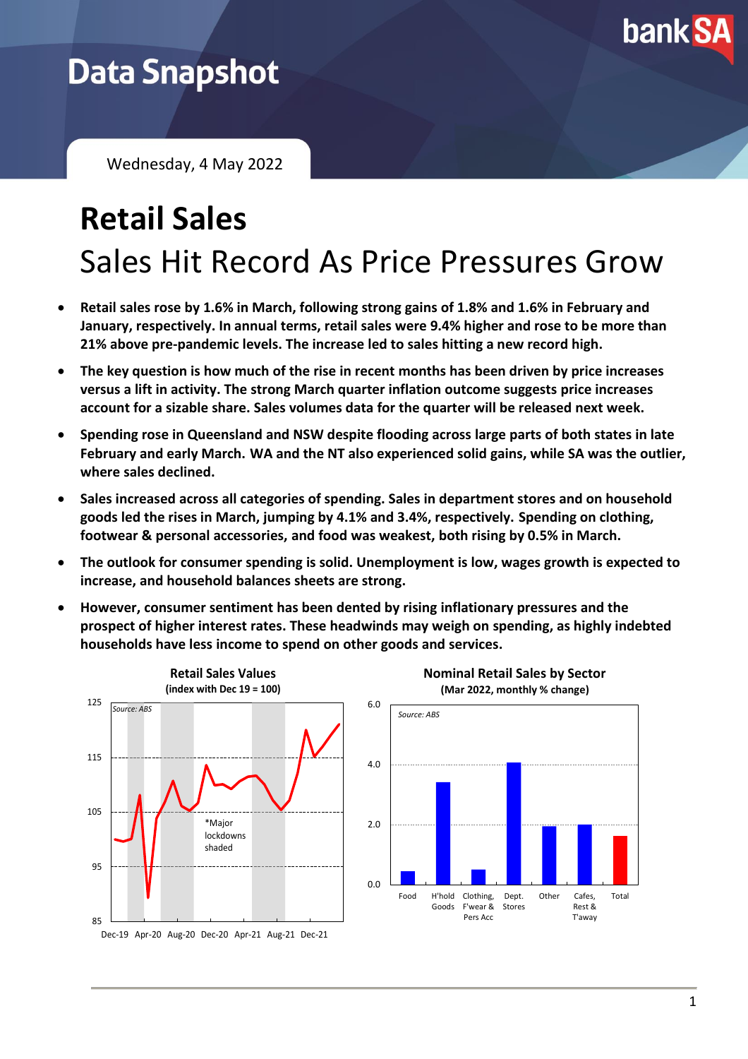

## **Data Snapshot**

Wednesday, 4 May 2022

# **Retail Sales** Sales Hit Record As Price Pressures Grow

- **Retail sales rose by 1.6% in March, following strong gains of 1.8% and 1.6% in February and January, respectively. In annual terms, retail sales were 9.4% higher and rose to be more than 21% above pre-pandemic levels. The increase led to sales hitting a new record high.**
- **The key question is how much of the rise in recent months has been driven by price increases versus a lift in activity. The strong March quarter inflation outcome suggests price increases account for a sizable share. Sales volumes data for the quarter will be released next week.**
- **Spending rose in Queensland and NSW despite flooding across large parts of both states in late February and early March. WA and the NT also experienced solid gains, while SA was the outlier, where sales declined.**
- **Sales increased across all categories of spending. Sales in department stores and on household goods led the rises in March, jumping by 4.1% and 3.4%, respectively. Spending on clothing, footwear & personal accessories, and food was weakest, both rising by 0.5% in March.**
- **The outlook for consumer spending is solid. Unemployment is low, wages growth is expected to increase, and household balances sheets are strong.**
- **However, consumer sentiment has been dented by rising inflationary pressures and the prospect of higher interest rates. These headwinds may weigh on spending, as highly indebted households have less income to spend on other goods and services.**





Rest & T'away Total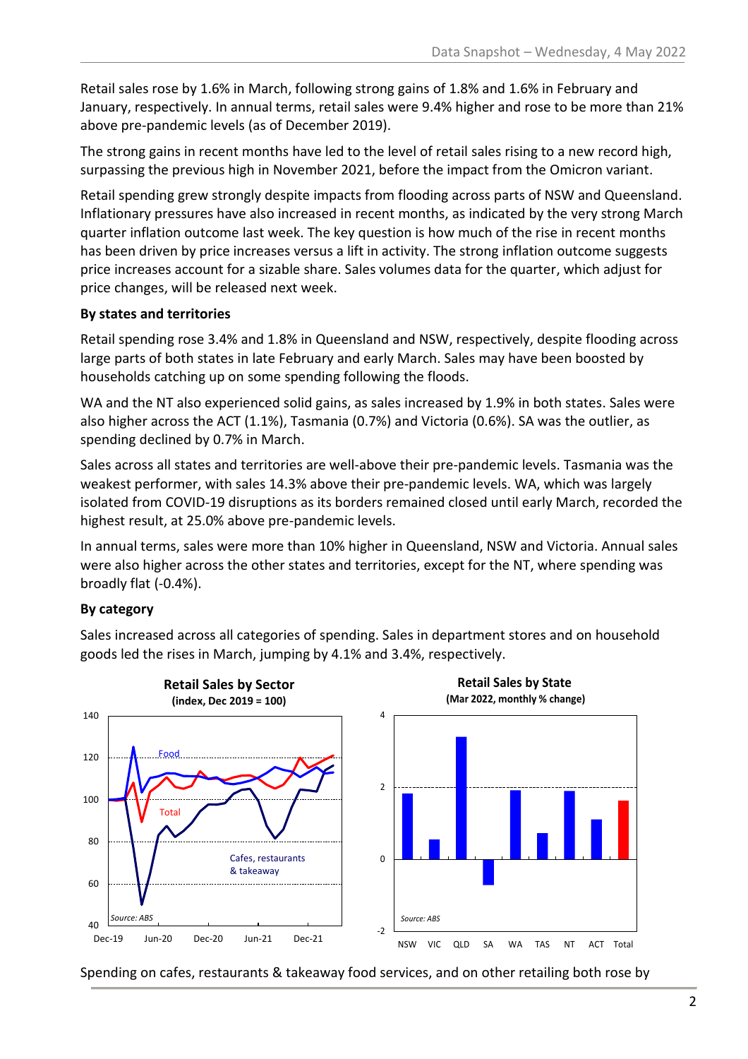Retail sales rose by 1.6% in March, following strong gains of 1.8% and 1.6% in February and January, respectively. In annual terms, retail sales were 9.4% higher and rose to be more than 21% above pre-pandemic levels (as of December 2019).

The strong gains in recent months have led to the level of retail sales rising to a new record high, surpassing the previous high in November 2021, before the impact from the Omicron variant.

Retail spending grew strongly despite impacts from flooding across parts of NSW and Queensland. Inflationary pressures have also increased in recent months, as indicated by the very strong March quarter inflation outcome last week. The key question is how much of the rise in recent months has been driven by price increases versus a lift in activity. The strong inflation outcome suggests price increases account for a sizable share. Sales volumes data for the quarter, which adjust for price changes, will be released next week.

#### **By states and territories**

Retail spending rose 3.4% and 1.8% in Queensland and NSW, respectively, despite flooding across large parts of both states in late February and early March. Sales may have been boosted by households catching up on some spending following the floods.

WA and the NT also experienced solid gains, as sales increased by 1.9% in both states. Sales were also higher across the ACT (1.1%), Tasmania (0.7%) and Victoria (0.6%). SA was the outlier, as spending declined by 0.7% in March.

Sales across all states and territories are well-above their pre-pandemic levels. Tasmania was the weakest performer, with sales 14.3% above their pre-pandemic levels. WA, which was largely isolated from COVID-19 disruptions as its borders remained closed until early March, recorded the highest result, at 25.0% above pre-pandemic levels.

In annual terms, sales were more than 10% higher in Queensland, NSW and Victoria. Annual sales were also higher across the other states and territories, except for the NT, where spending was broadly flat (-0.4%).

#### **By category**

Sales increased across all categories of spending. Sales in department stores and on household goods led the rises in March, jumping by 4.1% and 3.4%, respectively.



Spending on cafes, restaurants & takeaway food services, and on other retailing both rose by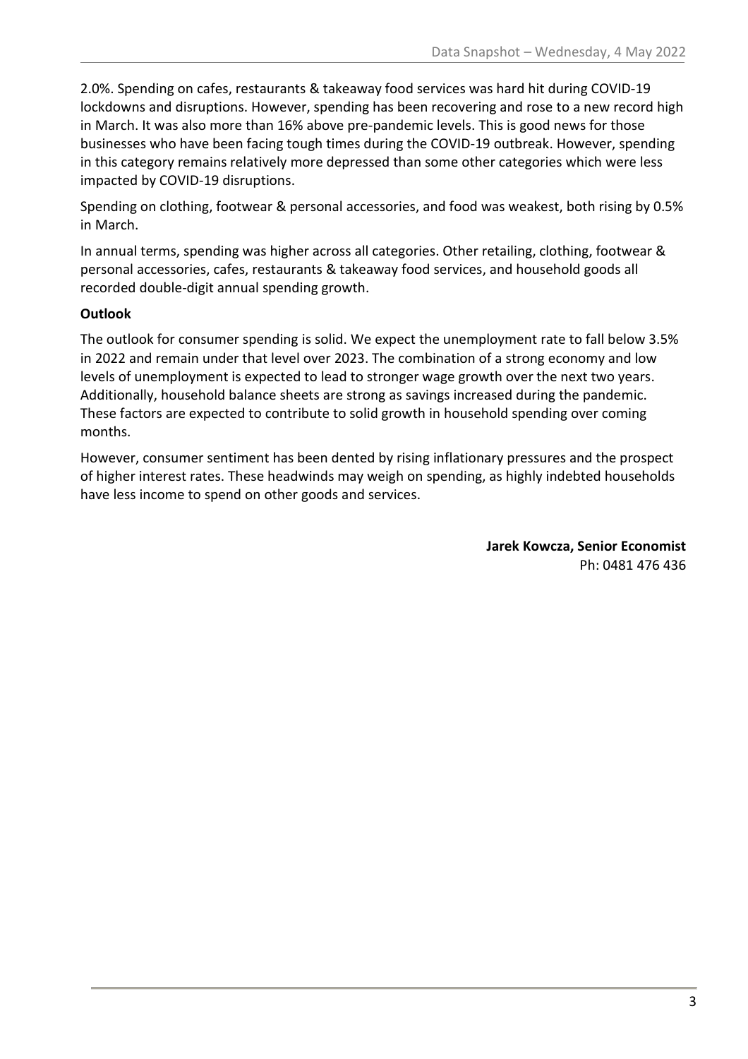2.0%. Spending on cafes, restaurants & takeaway food services was hard hit during COVID-19 lockdowns and disruptions. However, spending has been recovering and rose to a new record high in March. It was also more than 16% above pre-pandemic levels. This is good news for those businesses who have been facing tough times during the COVID-19 outbreak. However, spending in this category remains relatively more depressed than some other categories which were less impacted by COVID-19 disruptions.

Spending on clothing, footwear & personal accessories, and food was weakest, both rising by 0.5% in March.

In annual terms, spending was higher across all categories. Other retailing, clothing, footwear & personal accessories, cafes, restaurants & takeaway food services, and household goods all recorded double-digit annual spending growth.

#### **Outlook**

The outlook for consumer spending is solid. We expect the unemployment rate to fall below 3.5% in 2022 and remain under that level over 2023. The combination of a strong economy and low levels of unemployment is expected to lead to stronger wage growth over the next two years. Additionally, household balance sheets are strong as savings increased during the pandemic. These factors are expected to contribute to solid growth in household spending over coming months.

However, consumer sentiment has been dented by rising inflationary pressures and the prospect of higher interest rates. These headwinds may weigh on spending, as highly indebted households have less income to spend on other goods and services.

> **Jarek Kowcza, Senior Economist** Ph: 0481 476 436